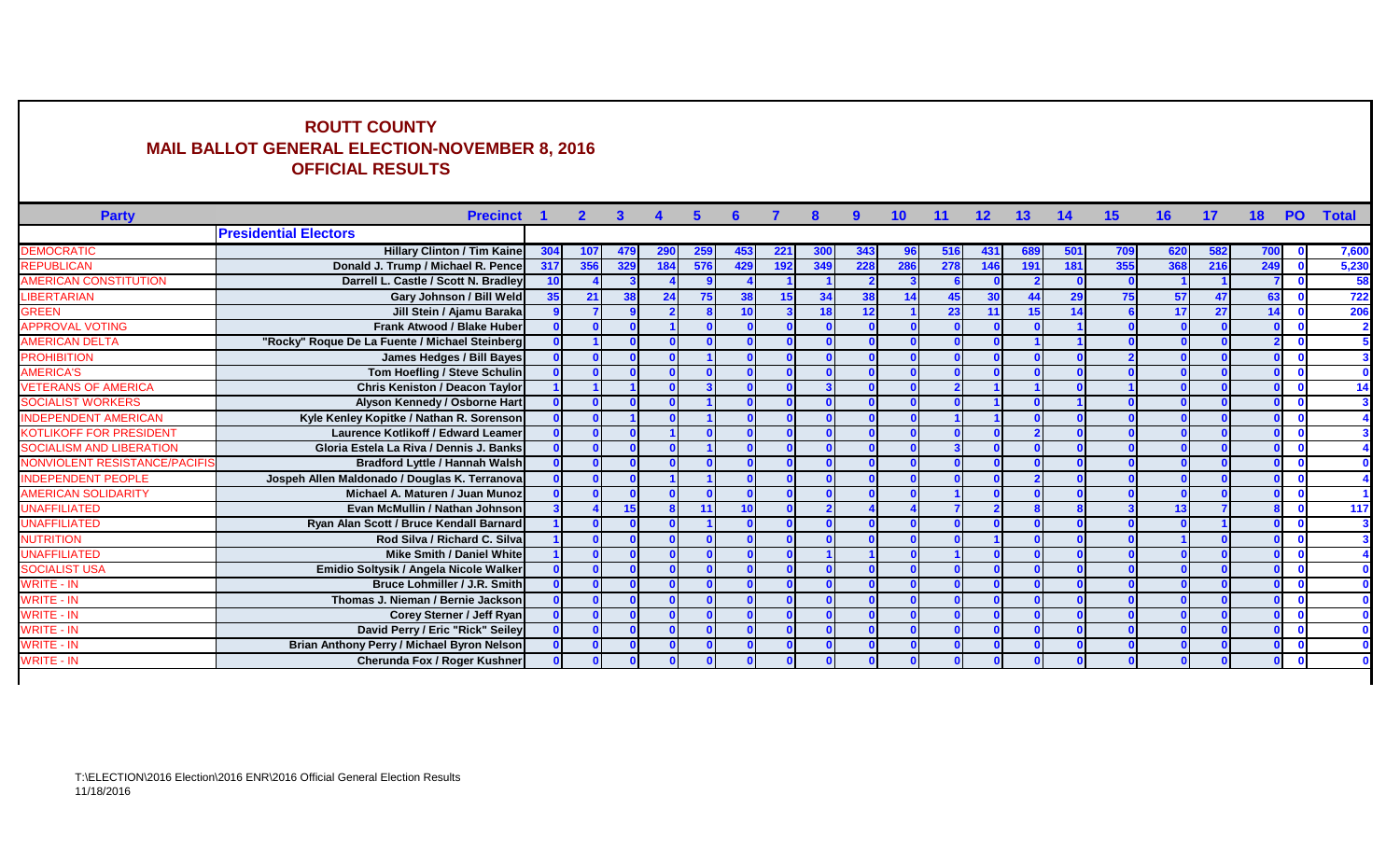## **ROUTT COUNTY MAIL BALLOT GENERAL ELECTION-NOVEMBER 8, 2016 OFFICIAL RESULTS**

| <b>Party</b>                         | <b>Precinct</b>                                |                 | $\mathbf{2}$ | $\mathbf{3}$ |     | 5.  |     |     |     | 9   | 10  | 11  | 12  | 13              |     | 15  | 16  | 17  | 18  | <b>PO</b>    | <b>Total</b> |
|--------------------------------------|------------------------------------------------|-----------------|--------------|--------------|-----|-----|-----|-----|-----|-----|-----|-----|-----|-----------------|-----|-----|-----|-----|-----|--------------|--------------|
|                                      | <b>Presidential Electors</b>                   |                 |              |              |     |     |     |     |     |     |     |     |     |                 |     |     |     |     |     |              |              |
| <b>DEMOCRATIC</b>                    | <b>Hillary Clinton / Tim Kaine</b>             | 304             | 107          | 479          | 290 | 259 | 453 | 221 | 300 | 343 |     | 516 | 431 | 689             | 501 | 709 | 620 | 582 | 700 |              | 7,600        |
| <b>REPUBLICAN</b>                    | Donald J. Trump / Michael R. Pence             | 317             | 356          | 329          | 184 | 576 | 429 | 192 | 349 | 228 | 286 | 278 | 146 | 191             | 181 | 355 | 368 | 216 | 249 |              | 5,230        |
| AMERICAN CONSTITUTION                | Darrell L. Castle / Scott N. Bradley           | 10              |              |              |     |     |     |     |     |     |     |     |     |                 |     |     |     |     |     |              | 58           |
| <b>IBERTARIAN</b>                    | Gary Johnson / Bill Weld                       | 35 <sup>1</sup> | 21           | 38           | 24  |     | 38  | 15  | 34  | 38  |     | 45  | 30  |                 | 29  | 75  | 57  | 47  | 63  |              | 722          |
| <b>GREEN</b>                         | Jill Stein / Ajamu Baraka                      |                 |              |              |     |     |     |     | 18  | 12  |     | 23  | 11  | 15 <sup>1</sup> | 14  |     | 17  | 27  | 14  |              | 206          |
| <b>APPROVAL VOTING</b>               | <b>Frank Atwood / Blake Huber</b>              |                 |              |              |     |     |     |     |     |     |     |     |     |                 |     |     |     |     |     |              |              |
| <b>AMERICAN DELTA</b>                | "Rocky" Roque De La Fuente / Michael Steinberg |                 |              |              |     |     |     |     |     |     |     |     |     |                 |     |     |     |     |     | $\mathbf{0}$ |              |
| <b>PROHIBITION</b>                   | <b>James Hedges / Bill Bayes</b>               |                 |              |              |     |     |     |     |     |     |     |     |     |                 |     |     |     |     |     |              |              |
| <b>AMERICA'S</b>                     | Tom Hoefling / Steve Schulin                   |                 |              |              |     |     |     |     |     |     |     |     |     |                 |     |     |     |     |     |              |              |
| <b>/ETERANS OF AMERICA</b>           | Chris Keniston / Deacon Taylor                 |                 |              |              |     |     |     |     |     |     |     |     |     |                 |     |     |     |     |     | $\mathbf{0}$ |              |
| <b>SOCIALIST WORKERS</b>             | Alyson Kennedy / Osborne Hart                  |                 |              |              |     |     |     |     |     |     |     |     |     |                 |     |     |     |     |     |              |              |
| <b>NDEPENDENT AMERICAN</b>           | Kyle Kenley Kopitke / Nathan R. Sorenson       |                 |              |              |     |     |     |     |     |     |     |     |     |                 |     |     |     |     |     |              |              |
| <b>KOTLIKOFF FOR PRESIDENT</b>       | Laurence Kotlikoff / Edward Leamer             |                 |              |              |     |     |     |     |     |     |     |     |     |                 |     |     |     |     |     |              |              |
| <b>SOCIALISM AND LIBERATION</b>      | Gloria Estela La Riva / Dennis J. Banks        |                 |              |              |     |     |     |     |     |     |     |     |     |                 |     |     |     |     |     |              |              |
| <b>NONVIOLENT RESISTANCE/PACIFIS</b> | <b>Bradford Lyttle / Hannah Walsh</b>          |                 |              |              |     |     |     |     |     |     |     |     |     |                 |     |     |     |     |     |              |              |
| <b>NDEPENDENT PEOPLE</b>             | Jospeh Allen Maldonado / Douglas K. Terranova  |                 |              |              |     |     |     |     |     |     |     |     |     |                 |     |     |     |     |     |              |              |
| <b>AMERICAN SOLIDARITY</b>           | Michael A. Maturen / Juan Munoz                |                 |              |              |     |     |     |     |     |     |     |     |     |                 |     |     |     |     |     |              |              |
| <b>JNAFFILIATED</b>                  | Evan McMullin / Nathan Johnson                 |                 |              | 15           |     |     |     |     |     |     |     |     |     |                 |     |     | 13  |     |     | $\Omega$     | 117          |
| <b>JNAFFILIATED</b>                  | Ryan Alan Scott / Bruce Kendall Barnard        |                 |              |              |     |     |     |     |     |     |     |     |     |                 |     |     |     |     |     | - 0          |              |
| <b>NUTRITION</b>                     | Rod Silva / Richard C. Silva                   |                 |              |              |     |     |     |     |     |     |     |     |     |                 |     |     |     |     |     |              |              |
| <b>JNAFFILIATED</b>                  | <b>Mike Smith / Daniel White</b>               |                 |              |              |     |     |     |     |     |     |     |     |     |                 |     |     |     |     |     |              |              |
| <b>SOCIALIST USA</b>                 | Emidio Soltysik / Angela Nicole Walker         |                 |              |              |     |     |     |     |     |     |     |     |     |                 |     |     |     |     |     |              |              |
| WRITE - IN                           | <b>Bruce Lohmiller / J.R. Smith</b>            |                 |              |              |     |     |     |     |     |     |     |     |     |                 |     |     |     |     |     |              |              |
| <b>NRITE - IN</b>                    | Thomas J. Nieman / Bernie Jackson              |                 |              |              |     |     |     |     |     |     |     |     |     |                 |     |     |     |     |     |              |              |
| <b>NRITE - IN</b>                    | Corey Sterner / Jeff Ryan                      |                 |              |              |     |     |     |     |     |     |     |     |     |                 |     |     |     |     |     |              |              |
| <b>NRITE - IN</b>                    | David Perry / Eric "Rick" Seiley               |                 |              |              |     |     |     |     |     |     |     |     |     |                 |     |     |     |     |     |              |              |
| <b>NRITE - IN</b>                    | Brian Anthony Perry / Michael Byron Nelson     |                 |              |              |     |     |     |     |     |     |     |     |     |                 |     |     |     |     |     |              |              |
| WRITE - IN                           | <b>Cherunda Fox / Roger Kushner</b>            |                 |              |              |     |     |     |     |     |     |     |     |     |                 |     |     |     |     |     |              |              |
|                                      |                                                |                 |              |              |     |     |     |     |     |     |     |     |     |                 |     |     |     |     |     |              |              |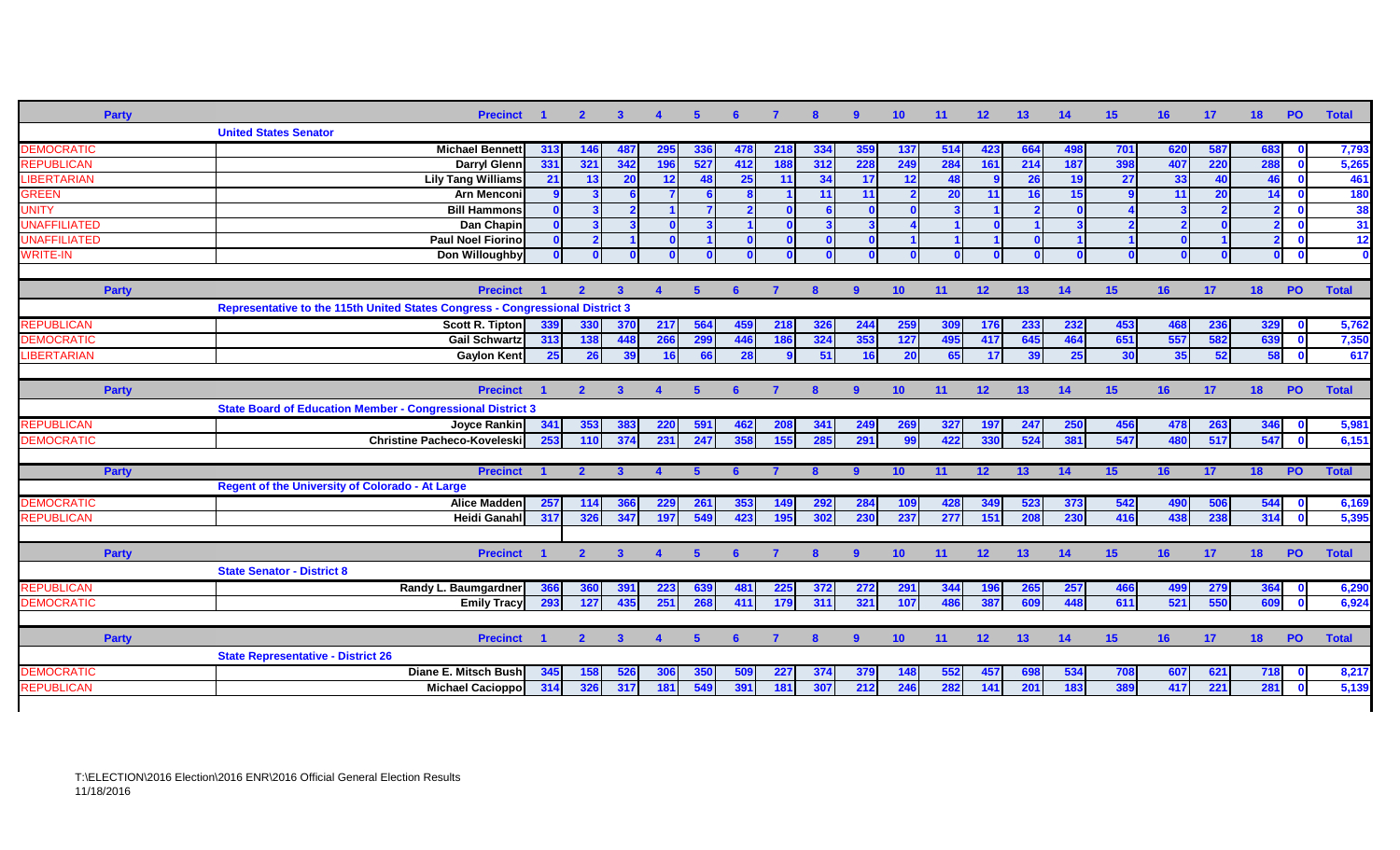| <b>Party</b>        | <b>Precinct</b>                                                               |     | $\mathbf{2}$   | -3                      |                      | -5             |     |     |              |                | 10 <sup>°</sup>         | 11  | 12 <sub>2</sub> | 13  | 14  | 15              | 16  | 17              | 18                      | <b>PO</b>               | <b>Total</b> |
|---------------------|-------------------------------------------------------------------------------|-----|----------------|-------------------------|----------------------|----------------|-----|-----|--------------|----------------|-------------------------|-----|-----------------|-----|-----|-----------------|-----|-----------------|-------------------------|-------------------------|--------------|
|                     | <b>United States Senator</b>                                                  |     |                |                         |                      |                |     |     |              |                |                         |     |                 |     |     |                 |     |                 |                         |                         |              |
| <b>DEMOCRATIC</b>   | Michael Bennett                                                               | 313 | 146            | 487                     | 295                  | 336            | 478 | 218 | 334          | 359            | 137                     | 514 | 423             | 664 | 498 | 701             | 620 | 587             | 683                     | $\mathbf{0}$            | 7,793        |
| <b>REPUBLICAN</b>   | Darryl Glenn                                                                  | 331 | 321            | 342                     | 196                  | 527            | 412 | 188 | 312          | 228            | 249                     | 284 | 161             | 214 | 187 | 398             | 407 | <b>220</b>      | 288                     | $\mathbf{0}$            | 5,265        |
| <b>LIBERTARIAN</b>  | <b>Lily Tang Williams</b>                                                     | 21  | 13             | 20                      | 12                   | 48             | 25  | 11  | 34           | 17             | 12                      | 48  | <b>g</b>        | 26  | 19  | 27              | 33  | 40              | 46                      | $\mathbf{0}$            | 461          |
| <b>GREEN</b>        | <b>Arn Menconi</b>                                                            |     |                |                         |                      | 6 <sup>1</sup> |     |     | 11           | 11             | $\overline{\mathbf{z}}$ | 20  | 11              | 16  | 15  |                 | 11  | $\overline{20}$ | 14                      | $\mathbf 0$             | 180          |
| <b>UNITY</b>        | <b>Bill Hammons</b>                                                           |     |                | $\overline{\mathbf{z}}$ |                      |                |     |     |              |                | $\mathbf{0}$            |     |                 |     |     |                 |     |                 |                         | $\mathbf{0}$            | 38           |
| <b>UNAFFILIATED</b> | Dan Chapin                                                                    |     |                |                         |                      |                |     |     |              |                |                         |     |                 |     |     |                 |     |                 | $\overline{\mathbf{z}}$ | $\mathbf{0}$            | 31           |
| <b>UNAFFILIATED</b> | <b>Paul Noel Fiorino</b>                                                      |     |                |                         |                      |                |     |     |              |                |                         |     |                 |     |     |                 |     |                 |                         | $\mathbf 0$             | $-12$        |
| <b>WRITE-IN</b>     | Don Willoughby                                                                |     |                |                         |                      |                |     |     |              |                | $\mathbf{0}$            |     |                 |     |     |                 |     |                 | $\mathbf$               | $\mathbf 0$             |              |
|                     |                                                                               |     |                |                         |                      |                |     |     |              |                |                         |     |                 |     |     |                 |     |                 |                         |                         |              |
| <b>Party</b>        | <b>Precinct</b>                                                               |     | $\overline{2}$ | $\mathbf{3}$            | $\blacktriangleleft$ | $-5$           | 6   | 7   | $\mathbf{8}$ | $\overline{9}$ | 10                      | 11  | 12              | 13  | 14  | 15 <sub>1</sub> | 16  | 17              | 18                      | <b>PO</b>               | <b>Total</b> |
|                     | Representative to the 115th United States Congress - Congressional District 3 |     |                |                         |                      |                |     |     |              |                |                         |     |                 |     |     |                 |     |                 |                         |                         |              |
| <b>REPUBLICAN</b>   | Scott R. Tipton                                                               | 339 | 330            | 370                     | 217                  | 564            | 459 | 218 | 326          | 244            | 259                     | 309 | 176             | 233 | 232 | 453             | 468 | 236             | 329                     | $\mathbf{0}$            | 5,762        |
| <b>DEMOCRATIC</b>   | Gail Schwartz                                                                 | 313 | 138            | 448                     | 266                  | 299            | 446 | 186 | 324          | 353            | 127                     | 495 | 417             | 645 | 464 | 651             | 557 | 582             | 639                     | $\overline{\mathbf{0}}$ | 7,350        |
| <b>LIBERTARIAN</b>  | <b>Gaylon Kent</b>                                                            | 25  | 26             | 39                      | <b>16</b>            | 66             | 28  |     | 51           | <b>16</b>      | 20                      | 65  | 17              | 39  | 25  | 30              | 35  | 52              | 58                      | $\overline{\mathbf{0}}$ | 617          |
|                     |                                                                               |     |                |                         |                      |                |     |     |              |                |                         |     |                 |     |     |                 |     |                 |                         |                         |              |
| <b>Party</b>        | <b>Precinct</b>                                                               |     | $\overline{2}$ | $\mathbf{3}$            | $\blacktriangle$     | -5             |     |     |              | $\mathbf{a}$   | 10 <sub>1</sub>         | 11  | 12 <sup>2</sup> | 13  | 14  | 15              | 16  | 17              | 18                      | <b>PO</b>               | <b>Total</b> |
|                     | <b>State Board of Education Member - Congressional District 3</b>             |     |                |                         |                      |                |     |     |              |                |                         |     |                 |     |     |                 |     |                 |                         |                         |              |
| <b>REPUBLICAN</b>   | Jovce Rankin                                                                  | 341 | 353            | 383                     | 220                  | 591            | 462 | 208 | 341          | 249            | 269                     | 327 | 197             | 247 | 250 | 456             | 478 | 263             | 346                     | $\mathbf{0}$            | 5,981        |
| <b>DEMOCRATIC</b>   | <b>Christine Pacheco-Koveleskil</b>                                           | 253 | 110            | 374                     | 231                  | 247            | 358 | 155 | 285          | 291            | 99 <sup>1</sup>         | 422 | 330             | 524 | 381 | 547             | 480 | 517             | 547                     | $\mathbf{0}$            | 6,151        |
|                     |                                                                               |     |                |                         |                      |                |     |     |              |                |                         |     |                 |     |     |                 |     |                 |                         |                         |              |
| <b>Party</b>        | <b>Precinct</b>                                                               |     |                |                         |                      |                |     |     |              |                | 10                      |     | 12 <sub>2</sub> | 13  | 14  | 15              | 16  | 17              | 18                      | <b>PO</b>               | <b>Total</b> |
|                     | <b>Regent of the University of Colorado - At Large</b>                        |     |                |                         |                      |                |     |     |              |                |                         |     |                 |     |     |                 |     |                 |                         |                         |              |
| <b>DEMOCRATIC</b>   | <b>Alice Madden</b>                                                           | 257 | 114            | 366                     | 229                  | 261            | 353 | 149 | 292          | 284            | 109                     | 428 | 349             | 523 | 373 | 542             | 490 | 506             | 544                     | $\overline{\mathbf{0}}$ | 6,169        |
| <b>REPUBLICAN</b>   | Heidi Ganahl                                                                  | 317 | 326            | 347                     | 197                  | 549            | 423 | 195 | 302          | 230            | 237                     | 277 | 151             | 208 | 230 | 416             | 438 | 238             | 314                     | $\mathbf{0}$            | 5,395        |
|                     |                                                                               |     |                |                         |                      |                |     |     |              |                |                         |     |                 |     |     |                 |     |                 |                         |                         |              |
| <b>Party</b>        | <b>Precinct</b>                                                               |     | $\overline{2}$ | $\mathbf{3}$            | $\blacktriangle$     | $\sqrt{5}$     | -6  |     | $\mathbf{8}$ | $\overline{9}$ | 10                      | 11  | 12 <sup>7</sup> | 13  | 14  | 15 <sub>1</sub> | 16  | 17              | 18                      | <b>PO</b>               | <b>Total</b> |
|                     | <b>State Senator - District 8</b>                                             |     |                |                         |                      |                |     |     |              |                |                         |     |                 |     |     |                 |     |                 |                         |                         |              |
| <b>REPUBLICAN</b>   | Randy L. Baumgardner                                                          | 366 | 360            | 391                     | 223                  | 639            | 481 | 225 | 372          | 272            | 291                     | 344 | 196             | 265 | 257 | 466             | 499 | 279             | 364                     | $\mathbf{0}$            | 6,290        |
| <b>DEMOCRATIC</b>   | <b>Emily Tracy</b>                                                            | 293 | 127            | 435                     | 251                  | 268            | 411 | 179 | 311          | 321            | 107                     | 486 | 387             | 609 | 448 | 611             | 521 | 550             | 609                     | $\overline{\mathbf{0}}$ | 6,924        |
|                     |                                                                               |     |                |                         |                      |                |     |     |              |                |                         |     |                 |     |     |                 |     |                 |                         |                         |              |
| Party               | <b>Precinct</b>                                                               |     | $\mathbf{2}$   | $\mathbf{3}$            | $\blacktriangle$     | 5 <sup>5</sup> | 6   | 7   | $\mathbf{8}$ | $\overline{9}$ | 10                      | 11  | 12              | 13  | 14  | 15              | 16  | 17              | 18                      | PO                      | <b>Total</b> |
|                     | <b>State Representative - District 26</b>                                     |     |                |                         |                      |                |     |     |              |                |                         |     |                 |     |     |                 |     |                 |                         |                         |              |
| <b>DEMOCRATIC</b>   | Diane E. Mitsch Bush                                                          | 345 | 158            | 526                     | 306                  | 350            | 509 | 227 | 374          | 379            | <b>148</b>              | 552 | 457             | 698 | 534 | 708             | 607 | 621             | 718                     | $\mathbf 0$             | 8,217        |
| <b>REPUBLICAN</b>   | Michael Cacioppo                                                              | 314 | 326            | 317                     | 181                  | 549            | 391 | 181 | 307          | 212            | 246                     | 282 | 141             | 201 | 183 | 389             | 417 | 221             | 281                     | $\mathbf{0}$            | 5,139        |
|                     |                                                                               |     |                |                         |                      |                |     |     |              |                |                         |     |                 |     |     |                 |     |                 |                         |                         |              |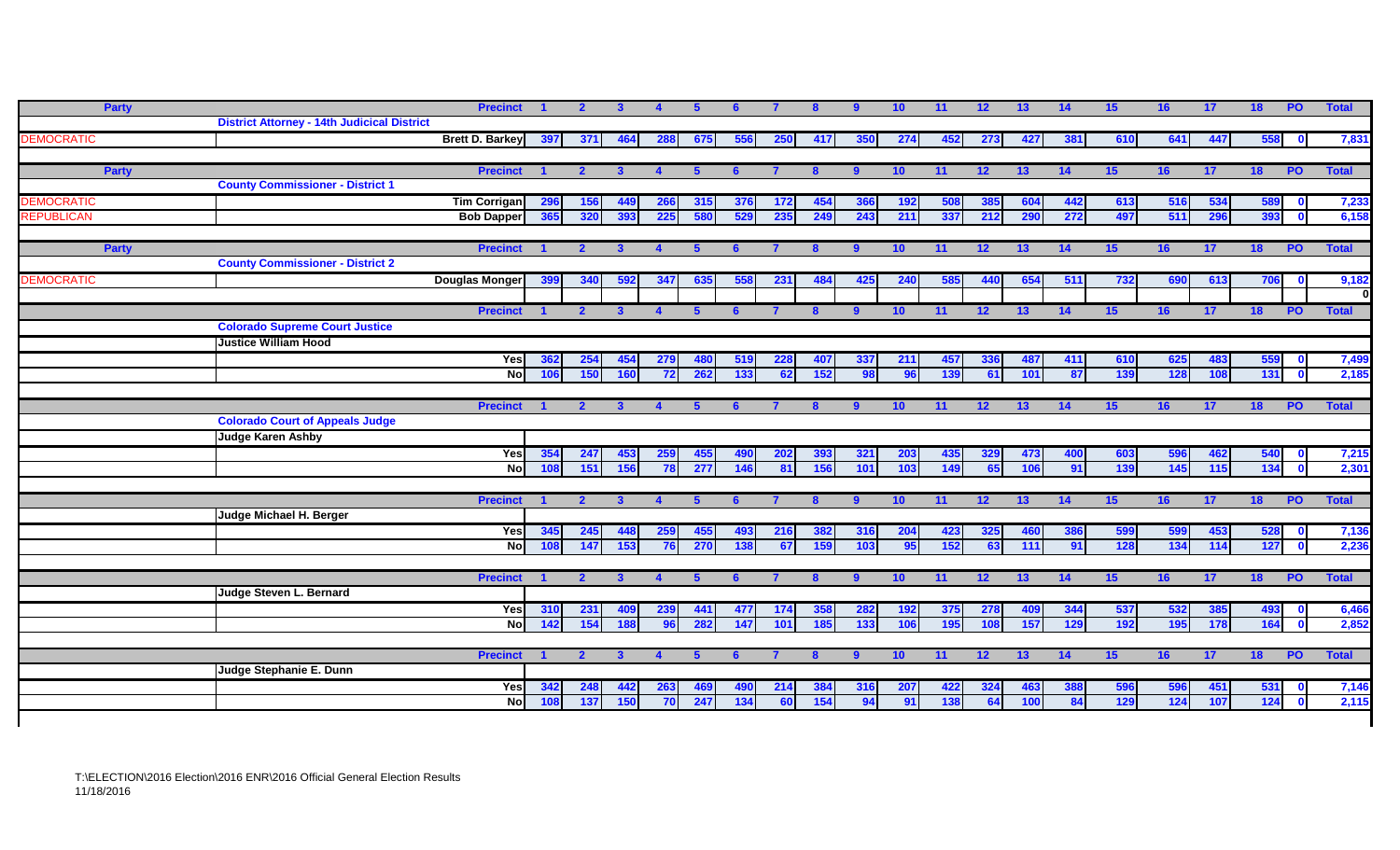| <b>Party</b>      |                                                    | <b>Precinct</b>        |            | $\overline{2}$          | $\mathbf{3}$ |                   | 5    |     |            |              | -9             | 10 <sub>1</sub> | 11              | 12              | 13         | 14         | 15 <sub>1</sub>  | 16               | 17  | 18<br><b>PO</b>  | <b>Total</b>                   |
|-------------------|----------------------------------------------------|------------------------|------------|-------------------------|--------------|-------------------|------|-----|------------|--------------|----------------|-----------------|-----------------|-----------------|------------|------------|------------------|------------------|-----|------------------|--------------------------------|
|                   | <b>District Attorney - 14th Judicical District</b> |                        |            |                         |              |                   |      |     |            |              |                |                 |                 |                 |            |            |                  |                  |     |                  |                                |
| <b>DEMOCRATIC</b> |                                                    | <b>Brett D. Barkey</b> | 397        | 371                     | 464          | 288               | 675  | 556 | <b>250</b> | 417          | 350            | 274             | 452             | 273             | 427        | 381        | 610              | 641              | 447 | 558              | 7,831<br>$\mathbf 0$           |
|                   |                                                    |                        |            |                         |              |                   |      |     |            |              |                |                 |                 |                 |            |            |                  |                  |     |                  |                                |
| Party             | <b>County Commissioner - District 1</b>            | <b>Precinct</b>        |            | $\overline{2}$          | $\mathbf{3}$ |                   | -5   |     |            |              | 9              | 10 <sup>°</sup> | 11              | 12              | 13         | 14         | 15               | 16               | 17  | <b>PO</b><br>18  | <b>Total</b>                   |
| <b>DEMOCRATIC</b> |                                                    | <b>Tim Corrigan</b>    |            |                         |              |                   | 315  | 376 | 172        | 454          |                | 192             |                 | 385             | 604        |            | 613              | 516              | 534 |                  |                                |
| <b>REPUBLICAN</b> |                                                    | <b>Bob Dapper</b>      | 296<br>365 | <b>156</b><br>320       | 449<br>393   | <b>266</b><br>225 | 580  | 529 | 235        | 249          | 366<br>243     | 211             | 508<br>337      | 212             | 290        | 442<br>272 | 497              | 511              | 296 | 589<br>393       | 7,233<br>6,158<br>$\mathbf{0}$ |
|                   |                                                    |                        |            |                         |              |                   |      |     |            |              |                |                 |                 |                 |            |            |                  |                  |     |                  |                                |
| <b>Party</b>      |                                                    | <b>Precinct</b>        |            | $\overline{\mathbf{z}}$ | 3            |                   | -5   |     |            |              | 9              | 10 <sub>1</sub> | 11              | 12              | 13         | 14         | 15 <sub>15</sub> | 16               | 17  | 18<br><b>PO</b>  | <b>Total</b>                   |
|                   | <b>County Commissioner - District 2</b>            |                        |            |                         |              |                   |      |     |            |              |                |                 |                 |                 |            |            |                  |                  |     |                  |                                |
| <b>DEMOCRATIC</b> |                                                    | Douglas Monger         | 399        | 340                     | 592          | 347               | 635  | 558 | 231        | 484          | 425            | 240             | 585             | 440             | 654        | 511        | 732              | 690              | 613 | 706              | 9,182<br>$\mathbf{0}$          |
|                   |                                                    |                        |            |                         |              |                   |      |     |            |              |                |                 |                 |                 |            |            |                  |                  |     |                  |                                |
|                   |                                                    | <b>Precinct</b>        |            | 2 <sup>1</sup>          | $\mathbf{3}$ |                   | -5   | 6   |            | 8            | 9              | 10              | 11 <sup>1</sup> | 12              | 13         | 14         | 15               | 16 <sup>1</sup>  | 17  | 18<br><b>PO</b>  | <b>Total</b>                   |
|                   | <b>Colorado Supreme Court Justice</b>              |                        |            |                         |              |                   |      |     |            |              |                |                 |                 |                 |            |            |                  |                  |     |                  |                                |
|                   | <b>Justice William Hood</b>                        |                        |            |                         |              |                   |      |     |            |              |                |                 |                 |                 |            |            |                  |                  |     |                  |                                |
|                   |                                                    | Yes                    | 362        | 254                     | 454          | 279               | 480  | 519 | 228        | 407          | 337            | 211             | 457             | 336             | 487        | 411        | 610              | 625              | 483 | 559              | 7,499<br>$\mathbf{0}$          |
|                   |                                                    | <b>Nol</b>             | 106        | 150                     | 160          | 72                | 262  | 133 | 62         | 152          | 98             | 96              | 139             | 61              | 101        | 87         | 139              | 128              | 108 | 131              | 2,185<br>$\mathbf{0}$          |
|                   |                                                    | <b>Precinct</b>        |            | $\mathbf{2}$            | $\mathbf{3}$ |                   | -5   | 6   |            | 8            | $9^{\circ}$    | 10              | 11              | 12              | 13         | 14         | 15               | 16               | 17  | $P$ O<br>18      | <b>Total</b>                   |
|                   | <b>Colorado Court of Appeals Judge</b>             |                        |            |                         |              |                   |      |     |            |              |                |                 |                 |                 |            |            |                  |                  |     |                  |                                |
|                   | <b>Judge Karen Ashby</b>                           |                        |            |                         |              |                   |      |     |            |              |                |                 |                 |                 |            |            |                  |                  |     |                  |                                |
|                   |                                                    | Yes                    | 354        | 247                     | 453          | 259               | 455  |     | 202        | 393          | 321            | 203             | 435             | 329             | 473        | 400        | 603              | 596              | 462 | 540              | 7,215                          |
|                   |                                                    | $\overline{N}$         | 108        | 151                     | 156          | 78                | 277  | 146 | 81         | 156          | 101            | 103             | 149             | 65              | 106        | 91         | 139              | 145              | 115 | 134              | 2,301<br>$\mathbf{0}$          |
|                   |                                                    |                        |            |                         |              |                   |      |     |            |              |                |                 |                 |                 |            |            |                  |                  |     |                  |                                |
|                   |                                                    | <b>Precinct</b>        |            | $\overline{2}$          | $\mathbf{3}$ | $\mathbf{A}$      | $-5$ | -6  |            | $\mathbf{8}$ | $\overline{9}$ | 10              | 11              | 12              | 13         | 14         | 15               | 16               | 17  | 18<br><b>PO</b>  | <b>Total</b>                   |
|                   | Judge Michael H. Berger                            |                        |            |                         |              |                   |      |     |            |              |                |                 |                 |                 |            |            |                  |                  |     |                  |                                |
|                   |                                                    | Yes                    | 345        | 245                     | 448          | 259               | 455  | 493 | 216        | 382          | 316            | 204             | 423             | 325             | 460        | 386        | 599              | 599              | 453 | 528              | 7,136<br>$\mathbf{0}$          |
|                   |                                                    | <b>No</b>              | 108        | 147                     | 153          | 76                | 270  | 138 | 67         | 159          | 103            | 95              | 152             | 63              | 111        | 91         | 128              | 134              | 114 | 127              | 2,236<br>$\Omega$              |
|                   |                                                    | <b>Precinct</b>        |            | $\mathbf{2}$            |              |                   |      |     |            |              | $9^{\circ}$    | 10 <sub>1</sub> | 11              | 12 <sub>2</sub> | 13         | 14         | 15 <sub>1</sub>  | 16               | 17  | <b>PO</b><br>18  | <b>Total</b>                   |
|                   | Judge Steven L. Bernard                            |                        |            |                         |              |                   |      |     |            |              |                |                 |                 |                 |            |            |                  |                  |     |                  |                                |
|                   |                                                    | Yes                    | 310        | 231                     | 409          | 239               | 441  | 477 | 174        | 358          | 282            | 192             | 375             | 278             | <b>409</b> | 344        | 537              | 532              | 385 | 493              | 6,466                          |
|                   |                                                    | $\overline{N}$         | 142        | 154                     | 188          | 96                | 282  | 147 | 101        | 185          | 133            | 106             | 195             | 108             | 157        | 129        | 192              | 195              | 178 | 164              | 2,852<br>$\overline{0}$        |
|                   |                                                    |                        |            |                         |              |                   |      |     |            |              |                |                 |                 |                 |            |            |                  |                  |     |                  |                                |
|                   |                                                    | <b>Precinct</b>        |            | $\overline{2}$          | 3            |                   | -5   |     |            |              | $\overline{9}$ | 10 <sub>1</sub> | 11              | 12              | 13         | 14         | 15               | 16               | 17  | <b>PO</b><br>18  | <b>Total</b>                   |
|                   | Judge Stephanie E. Dunn                            |                        |            |                         |              |                   |      |     |            |              |                |                 |                 |                 |            |            |                  |                  |     |                  |                                |
|                   |                                                    | Yes                    | 342        | 248                     | 442          | 263               | 469  | 490 | 214        | 384          | 316            | <b>207</b>      | 422             | 324             | 463        | 388        | 596              | 596              | 451 | 531              | 7,146                          |
|                   |                                                    | <b>No</b>              | 108        | 137                     | 150          | 70                | 247  | 134 | 60         | 154          | 94             | 91              | 138             | 64              | 100        | 84         | 129              | $\overline{124}$ | 107 | $\overline{124}$ | 2,115                          |
|                   |                                                    |                        |            |                         |              |                   |      |     |            |              |                |                 |                 |                 |            |            |                  |                  |     |                  |                                |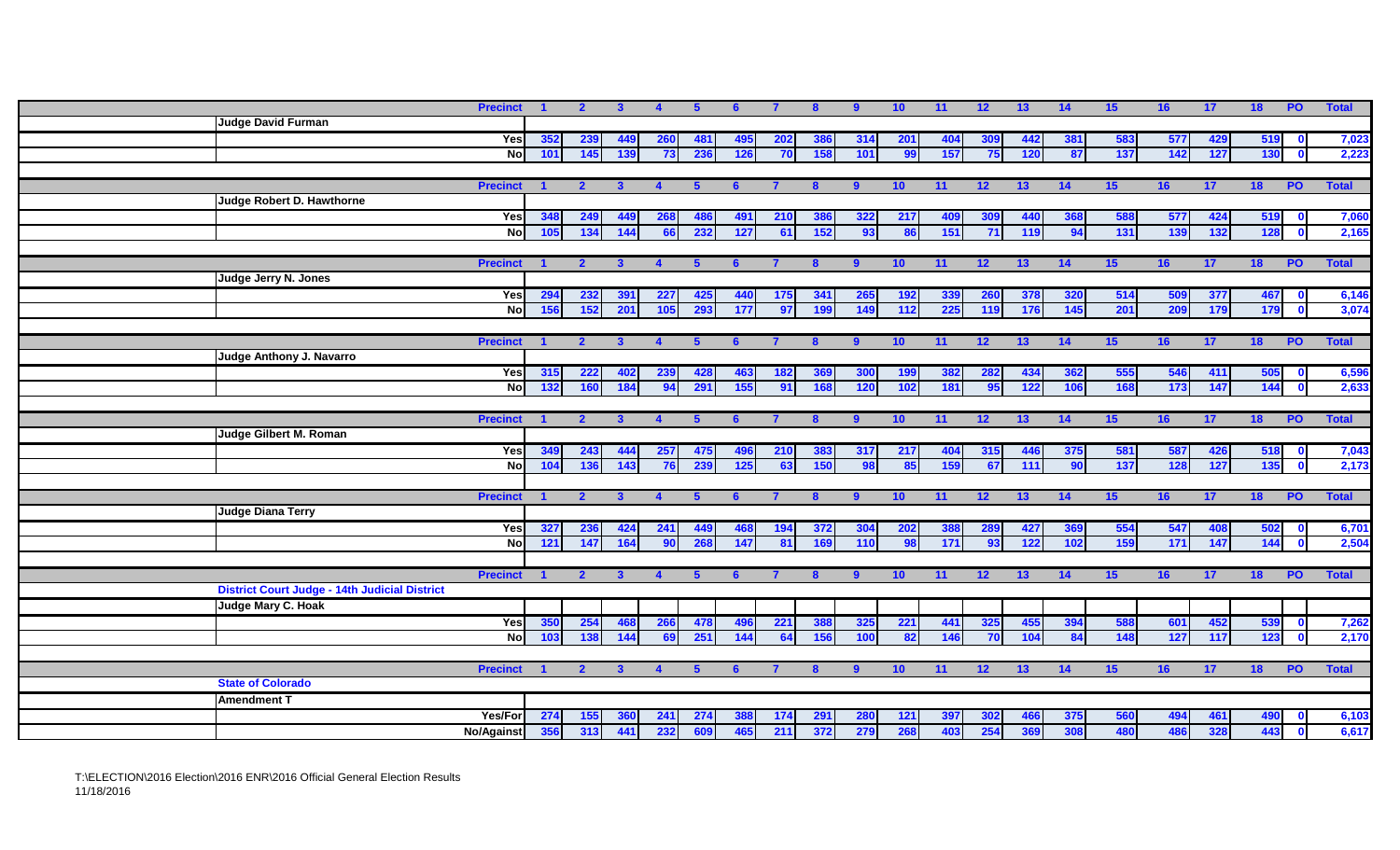| <b>Precinct</b>                                                         |     | 2 <sup>1</sup> | $\mathbf{3}$ | $\blacktriangle$     | 5          |            |     | 8            | 9            | 10         | 11              | 12 <sup>2</sup> | 13         | 14  | 15 <sub>1</sub> | 16  | 17  | 18         | PO             | <b>Total</b> |
|-------------------------------------------------------------------------|-----|----------------|--------------|----------------------|------------|------------|-----|--------------|--------------|------------|-----------------|-----------------|------------|-----|-----------------|-----|-----|------------|----------------|--------------|
| <b>Judge David Furman</b>                                               |     |                |              |                      |            |            |     |              |              |            |                 |                 |            |     |                 |     |     |            |                |              |
| Yes                                                                     | 352 | 239            | 449          | <b>260</b>           | <b>481</b> | 495        | 202 | 386          | 314          | <b>201</b> | 404             | 309             | 442        | 381 | 583             | 577 | 429 | 519        |                | 7,023        |
| <b>No</b>                                                               | 101 | 145            | 139          | 73                   | 236        | <b>126</b> | 70  | 158          | 101          | 99         | 157             | - 75 I          | <b>120</b> | 87  | 137             | 142 | 127 | 130        | $\bullet$      | 2,223        |
|                                                                         |     |                |              |                      |            |            |     |              |              |            |                 |                 |            |     |                 |     |     |            |                |              |
| <b>Precinct</b>                                                         |     | $\overline{2}$ | $\mathbf{3}$ | $\blacktriangle$     |            | 6          |     | $\mathbf{8}$ | -9           | 10         | $\overline{11}$ | 12 <sup>2</sup> | 13         | 14  | 15              | 16  | 17  | 18         | <b>PO</b>      | <b>Total</b> |
| Judge Robert D. Hawthorne                                               |     |                |              |                      |            |            |     |              |              |            |                 |                 |            |     |                 |     |     |            |                |              |
| Yes                                                                     | 348 | 249            | 449          | 268                  | 486        | 491        | 210 | 386          | 322          | 217        | 409             | 309             | 440        | 368 | 588             | 577 | 424 | 519        |                | 7,060        |
| $\overline{8}$                                                          | 105 | 134            | 144          | 66                   | 232        | 127        | 61  | 152          | 93           | 86         | 151             | 71              | 119        | 94  | 131             | 139 | 132 | 128        | $\mathbf{0}$   | 2,165        |
|                                                                         |     |                |              |                      |            |            |     |              |              |            |                 |                 |            |     |                 |     |     |            |                |              |
| <b>Precinct</b>                                                         |     | $\overline{2}$ | -3           |                      |            |            |     |              | -9           | 10         | 11              | 12 <sub>2</sub> | 13         | 14  | 15              | 16  | 17  | 18         | P <sub>0</sub> | <b>Total</b> |
| <b>Judge Jerry N. Jones</b>                                             |     |                |              |                      |            |            |     |              |              |            |                 |                 |            |     |                 |     |     |            |                |              |
| Yes                                                                     | 294 | 232            | 391          | 227                  | 425        | 440        | 175 | 341          | 265          | <b>192</b> | 339             | 260             | 378        | 320 | 514             | 509 | 377 | 467        |                | 6,146        |
| $\overline{N}$                                                          | 156 | 152            | 201          | 105                  | 293        | 177        | 97  | 199          | 149          | 112        | 225             | 119             | 176        | 145 | 201             | 209 | 179 | 179        | $\bullet$      | 3,074        |
|                                                                         |     |                |              |                      |            |            |     |              |              |            |                 |                 |            |     |                 |     |     |            |                |              |
| <b>Precinct</b>                                                         |     | $\overline{2}$ | $\mathbf{3}$ | $\overline{4}$       | -5         | 6          |     | 8            | 9            | 10         | 11              | 12              | 13         | 14  | 15              | 16  | 17  | 18         | P <sub>O</sub> | <b>Total</b> |
| Judge Anthony J. Navarro                                                |     |                |              |                      |            |            |     |              |              |            |                 |                 |            |     |                 |     |     |            |                |              |
| Yes                                                                     | 315 | 222            | 402          | 239                  | 428        | 463        | 182 | 369          | 300          | <b>199</b> | 382             | 282             | 434        | 362 | 555             | 546 | 411 | 505        | $\mathbf 0$    | 6,596        |
| <b>No</b>                                                               | 132 | 160            | 184          | 94                   | 291        | 155        | 91  | 168          | 120          | 102        | 181             | 95              | 122        | 106 | 168             | 173 | 147 | 144        | $\mathbf{0}$   | 2,633        |
|                                                                         |     |                |              |                      |            |            |     |              |              |            |                 |                 |            |     |                 |     |     |            |                |              |
| <b>Precinct</b>                                                         |     | $\overline{2}$ | $\mathbf{3}$ | $\overline{4}$       | -5         |            |     |              | -9           | 10         | 11              | 12              | 13         | 14  | 15              | 16  | 17  | 18         | P <sub>0</sub> | <b>Total</b> |
| Judge Gilbert M. Roman                                                  |     |                |              |                      |            |            |     |              |              |            |                 |                 |            |     |                 |     |     |            |                |              |
| Yes                                                                     | 349 | 243            | 444          | 257                  | 475        | 496        | 210 | 383          | 317          | 217        | 404             | 315             | 446        | 375 | 581             | 587 | 426 | 518        |                | 7,043        |
| $\overline{N}$                                                          | 104 | 136            | 143          | 76                   | 239        | 125        | 63  | 150          | 98           | 85         | 159             | 67              | 111        | 90  | 137             | 128 | 127 | 135        | $\mathbf{0}$   | 2,173        |
|                                                                         |     |                |              |                      |            |            |     |              |              |            |                 |                 |            |     |                 |     |     |            |                |              |
| <b>Precinct</b>                                                         |     | 2 <sup>1</sup> | $\mathbf{3}$ | $\blacktriangleleft$ | -5         | 6          |     | $\bf{8}$     | -9           | 10         | 11              | 12              | 13         | 14  | 15              | 16  | 17  | 18         | P <sub>O</sub> | <b>Total</b> |
| <b>Judge Diana Terry</b>                                                |     |                |              |                      |            |            |     |              |              |            |                 |                 |            |     |                 |     |     |            |                |              |
| Yes                                                                     | 327 | 236            | 424          | 241                  | 449        | 468        | 194 | 372          | 304          | 202        | 388             | 289             | 427        | 369 | 554             | 547 | 408 | 502        | $\mathbf 0$    | 6,701        |
| $\overline{N}$                                                          | 121 | 147            | 164          | 90                   | 268        | 147        | 81  | 169          | 110          | 98         | 171             | 93              | 122        | 102 | 159             | 171 | 147 | 144        | $\Omega$       | 2,504        |
|                                                                         |     |                |              |                      |            |            |     |              |              |            |                 |                 |            |     |                 |     |     |            |                |              |
| <b>Precinct</b><br><b>District Court Judge - 14th Judicial District</b> |     | $\overline{2}$ | $\mathbf{3}$ |                      |            |            |     | $\mathbf{R}$ | $\mathbf{q}$ | 10         | 11              | 12              | 13         | 14  | 15              | 16  | 17  | 18         | <b>PO</b>      | <b>Total</b> |
|                                                                         |     |                |              |                      |            |            |     |              |              |            |                 |                 |            |     |                 |     |     |            |                |              |
| Judge Mary C. Hoak                                                      |     |                |              |                      |            |            |     |              |              |            |                 |                 |            |     |                 |     |     |            |                |              |
| Yes<br>$\overline{N}$                                                   | 350 | 254            | 468          | 266                  | 478        | 496<br>144 | 221 | 388          | 325          | 221        | 441             | 325             | 455        | 394 | 588             | 601 | 452 | 539<br>123 | $\mathbf{0}$   | 7,262        |
|                                                                         | 103 | 138            | 144          | 69                   | 251        |            | 64  | 156          | 100          | 82         | 146             | 70              | 104        | 84  | 148             | 127 | 117 |            | $\mathbf{0}$   | 2,170        |
|                                                                         |     |                |              |                      |            |            |     |              |              |            |                 |                 |            |     |                 |     |     |            |                |              |
| <b>Precinct</b><br><b>State of Colorado</b>                             |     | $\mathbf{2}$   | $\mathbf{3}$ | $\blacktriangle$     | 5          | -6         |     |              | -9           | 10         | 11              | 12              | 13         | 14  | 15              | 16  | 17  | 18         | <b>PO</b>      | <b>Total</b> |
|                                                                         |     |                |              |                      |            |            |     |              |              |            |                 |                 |            |     |                 |     |     |            |                |              |
| <b>Amendment T</b>                                                      |     |                |              |                      |            |            |     |              |              |            |                 |                 |            |     |                 |     |     |            |                |              |
| <b>Yes/For</b>                                                          | 274 | 155            | 360          | 241                  | 274        | 388        | 174 | 291          | <b>280</b>   | 121        | 397             | 302             | 466        | 375 | 560             | 494 | 461 | 490        | $\mathbf{0}$   | 6,103        |
| <b>No/Against</b>                                                       | 356 | 313            | 441          | 232                  | 609        | 465        | 211 | 372          | 279          | 268        | 403             | 254             | 369        | 308 | 480             | 486 | 328 | 443        | $\mathbf{0}$   | 6,617        |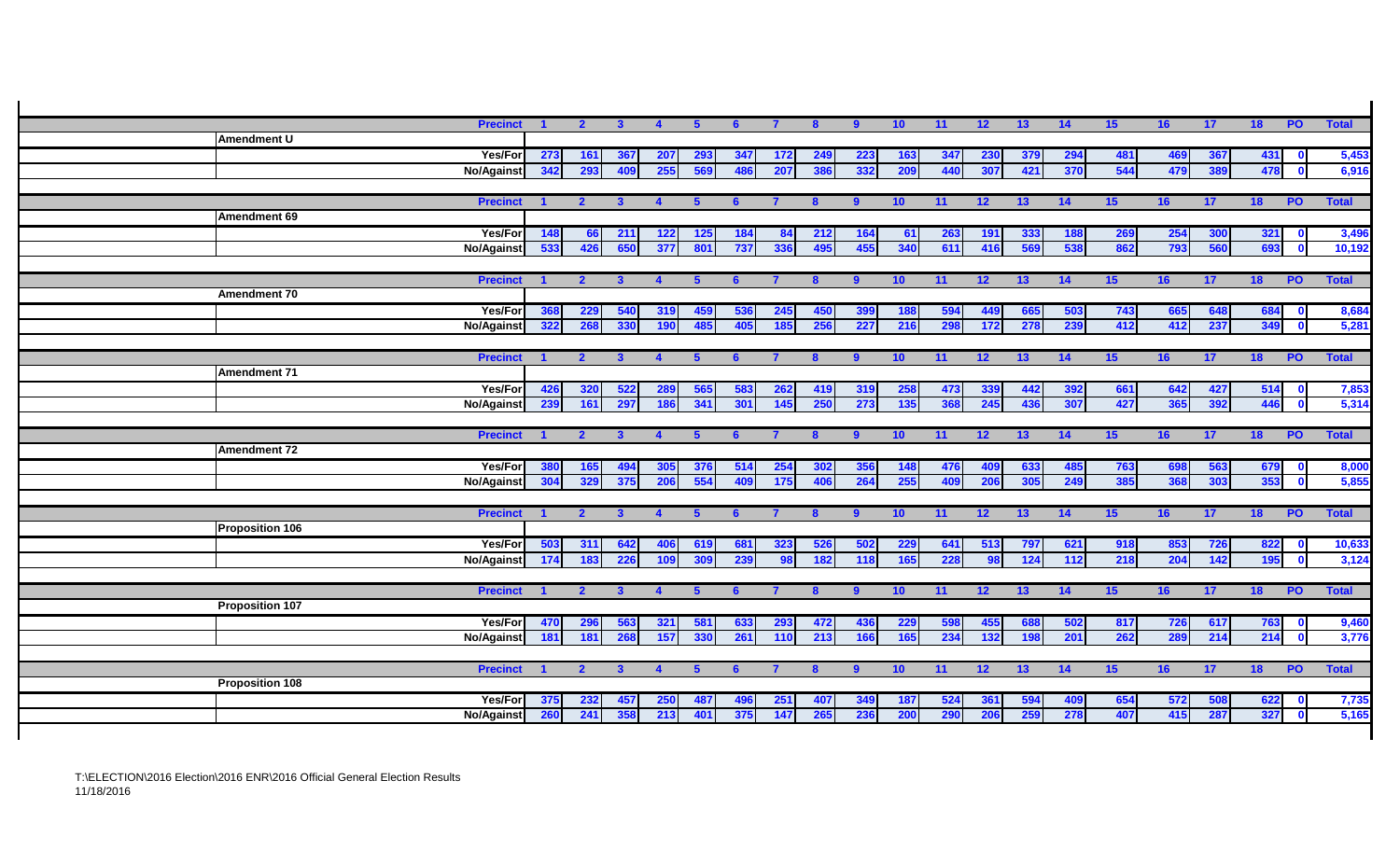| <b>Precinct</b>        | $\blacksquare$ | $\overline{2}$ | $\mathbf{3}$    | $\overline{4}$ | 5 <sup>5</sup> | 6          |            | 8            | 9              | 10  | $-11$      | 12              | 13              | $\overline{14}$ | 15              | 16         | $\overline{17}$ | 18 PO      |                           | <b>Total</b>   |
|------------------------|----------------|----------------|-----------------|----------------|----------------|------------|------------|--------------|----------------|-----|------------|-----------------|-----------------|-----------------|-----------------|------------|-----------------|------------|---------------------------|----------------|
| Amendment U            |                |                |                 |                |                |            |            |              |                |     |            |                 |                 |                 |                 |            |                 |            |                           |                |
| Yes/For                | 273            | 161            | 367             | 207            | 293            | 347        | 172        | 249          | 223            | 163 | 347        | 230             | 379             | 294             | 481             | 469        | 367             | 431        | $\mathbf 0$               | 5,453          |
| No/Against             | 342            | 293            | 409             | 255            | 569            | 486        | 207        | 386          | 332            | 209 | 440        | 307             | 421             | 370             | 544             | 479        | 389             | 478        | $\bullet$                 | 6,916          |
|                        |                |                |                 |                |                |            |            |              |                |     |            |                 |                 |                 |                 |            |                 |            |                           |                |
| <b>Precinct</b>        | $\blacksquare$ | $\overline{2}$ | $\mathbf{3}$    | $\overline{4}$ | -5             | 6          |            | $\mathbf{8}$ | -9             | 10  | 11         | 12              | 13 <sup>°</sup> | 14              | 15              | 16         | 17              | 18         | <b>PO</b>                 | <b>Total</b>   |
| Amendment 69           |                |                |                 |                |                |            |            |              |                |     |            |                 |                 |                 |                 |            |                 |            |                           |                |
| Yes/For                | 148            | 66             | 211             | 122            | 125            | 184        | 84         | 212          | 164            | 61  | 263        | 191             | 333             | 188             | 269             | 254        | 300             | 321        | $\mathbf 0$               | 3,496          |
| <b>No/Against</b>      | 533            | 426            | 650             | 377            | 801            | 737        | 336        | 495          | 455            | 340 | 611        | 416             | 569             | 538             | 862             | 793        | 560             | 693        | $\mathbf 0$               | 10,192         |
|                        |                |                |                 |                |                |            |            |              |                |     |            |                 |                 |                 |                 |            |                 |            |                           |                |
| <b>Precinct</b>        |                | $\overline{2}$ |                 |                |                |            |            | 8            | -9             | 10  | 11         | 12              | 13              | 14              | 15 <sub>1</sub> | 16         | 17              | 18         | <b>PO</b>                 | <b>Total</b>   |
| Amendment 70           |                |                |                 |                |                |            |            |              |                |     |            |                 |                 |                 |                 |            |                 |            |                           |                |
| <b>Yes/For</b>         | 368<br>322     | 229<br>268     | 540<br>330      | 319<br>190     | 485            | 536<br>405 | 245<br>185 | 450<br>256   | 399<br>227     | 188 | 594<br>298 | 449<br>172      | 665<br>278      | 503<br>239      | 743<br>412      | 665<br>412 | 648<br>237      | 684<br>349 | $\mathbf{0}$<br>$\bullet$ | 8,684<br>5,281 |
| <b>No/Against</b>      |                |                |                 |                |                |            |            |              |                | 216 |            |                 |                 |                 |                 |            |                 |            |                           |                |
| <b>Precinct</b>        | $\blacksquare$ | $\overline{2}$ | $\mathbf{3}$    | $\mathbf{A}$   | 5.             | 6          |            | $\mathbf{8}$ | -9             | 10  | 11         | 12              | 13              | 14              | 15              | 16         | 17              | 18         | <b>PO</b>                 | <b>Total</b>   |
| Amendment 71           |                |                |                 |                |                |            |            |              |                |     |            |                 |                 |                 |                 |            |                 |            |                           |                |
| Yes/For                | 426            | 320            | 522             | 289            | 565            | 583        | 262        | 419          | 319            | 258 | 473        | 339             | 442             | 392             | 661             | 642        | 427             | 514        | $\mathbf 0$               | 7,853          |
| No/Against             | 239            | 161            | 297             | 186            | 341            | 301        | 145        | 250          | 273            | 135 | 368        | 245             | 436             | 307             | 427             | 365        | 392             | 446        | $\mathbf{0}$              | 5,314          |
|                        |                |                |                 |                |                |            |            |              |                |     |            |                 |                 |                 |                 |            |                 |            |                           |                |
| <b>Precinct</b>        | $\blacksquare$ | $\overline{2}$ | $\mathbf{3}$    |                | -5             | 6          |            | $\mathbf{8}$ | 9              | 10  | 11         | 12 <sup>2</sup> | 13              | 14              | 15 <sub>1</sub> | 16         | 17              | 18         | <b>PO</b>                 | <b>Total</b>   |
| <b>Amendment 72</b>    |                |                |                 |                |                |            |            |              |                |     |            |                 |                 |                 |                 |            |                 |            |                           |                |
| Yes/For                | 380            | 165            | 49 <sub>4</sub> | 305            | 376            | 514        | 254        | 302          | 356            | 148 | 476        | 409             | 633             | 485             | 763             | 698        | 563             | 679        | $\mathbf 0$               | 8,000          |
| <b>No/Against</b>      | 304            | 329            | 375             | 206            | 554            | 409        | 175        | 406          | 264            | 255 | 409        | 206             | 305             | 249             | 385             | 368        | 303             | 353        | $\bullet$                 | 5,855          |
|                        |                |                |                 |                |                |            |            |              |                |     |            |                 |                 |                 |                 |            |                 |            |                           |                |
| <b>Precinct</b>        |                | $\overline{2}$ | $\mathbf{3}$    | $\mathbf{A}$   | -5             | 6          |            | $\bf{8}$     | -9             | 10  | 11         | 12 <sup>2</sup> | 13              | 14              | 15 <sub>1</sub> | 16         | 17              | 18         | <b>PO</b>                 | <b>Total</b>   |
| <b>Proposition 106</b> |                |                |                 |                |                |            |            |              |                |     |            |                 |                 |                 |                 |            |                 |            |                           |                |
| Yes/For                | 503            | 311            | 642             | 406            | 619            | 681        | 323        | 526          | 502            | 229 | 641        | 513             | 797             | 621             | 918             | 853        | 726             | 822        | $\mathbf 0$               | 10,633         |
| <b>No/Against</b>      | 174            | 183            | 226             | 109            | 309            | 239        | 98         | 182          | 118            | 165 | 228        | 98              | 124             | 112             | 218             | 204        | 142             | 195        | $\mathbf{0}$              | 3,124          |
|                        |                |                |                 |                |                |            |            |              |                |     |            |                 |                 |                 |                 |            |                 |            |                           |                |
| <b>Precinct</b>        |                | $\overline{2}$ | $\mathbf{3}$    |                | -5             |            |            | 8            | -9             | 10  | 11         | 12 <sup>2</sup> | 13              | 14              | 15 <sub>1</sub> | 16         | 17              | 18         | <b>PO</b>                 | <b>Total</b>   |
| <b>Proposition 107</b> |                |                |                 |                |                |            |            |              |                |     |            |                 |                 |                 |                 |            |                 |            |                           |                |
| Yes/For                | 470            | 296            | 563             | 321            | 581            | 633        | 293        | 472          | 436            | 229 | 598        | 455             | 688             | 502             | 817             | 726        | 617             | 763        | $\mathbf 0$               | 9,460          |
| <b>No/Against</b>      | 181            | 181            | 268             | 157            | 330            | 261        | 110        | 213          | 166            | 165 | 234        | 132             | 198             | 201             | 262             | 289        | 214             | 214        | $\bullet$                 | 3,776          |
|                        |                |                |                 |                |                |            |            |              |                |     |            |                 |                 |                 |                 |            |                 |            |                           |                |
| <b>Precinct</b>        | $\blacksquare$ | $\mathbf{2}$   | $\mathbf{3}$    |                | 5              | 6          |            | 8            | $\overline{9}$ | 10  | 11         | 12              | 13              | 14              | 15              | 16         | 17              | 18         | <b>PO</b>                 | <b>Total</b>   |
| <b>Proposition 108</b> |                |                |                 |                |                |            |            |              |                |     |            |                 |                 |                 |                 |            |                 |            |                           |                |
| <b>Yes/For</b>         | 375            | 232            | 457             | <b>250</b>     | -487           | 49         | 251        | 407          | 349            | 187 | 524        | 361             | 594             | 409             | 654             | 572        | 508             | 622        | $\mathbf{0}$              | 7,735          |
| <b>No/Against</b>      | 260            | 241            | 358             | 213            | 401            | 375        | 147        | 265          | 236            | 200 | 290        | 206             | 259             | 278             | 407             | 415        | 287             | 327        | $\mathbf{0}$              | 5,165          |
|                        |                |                |                 |                |                |            |            |              |                |     |            |                 |                 |                 |                 |            |                 |            |                           |                |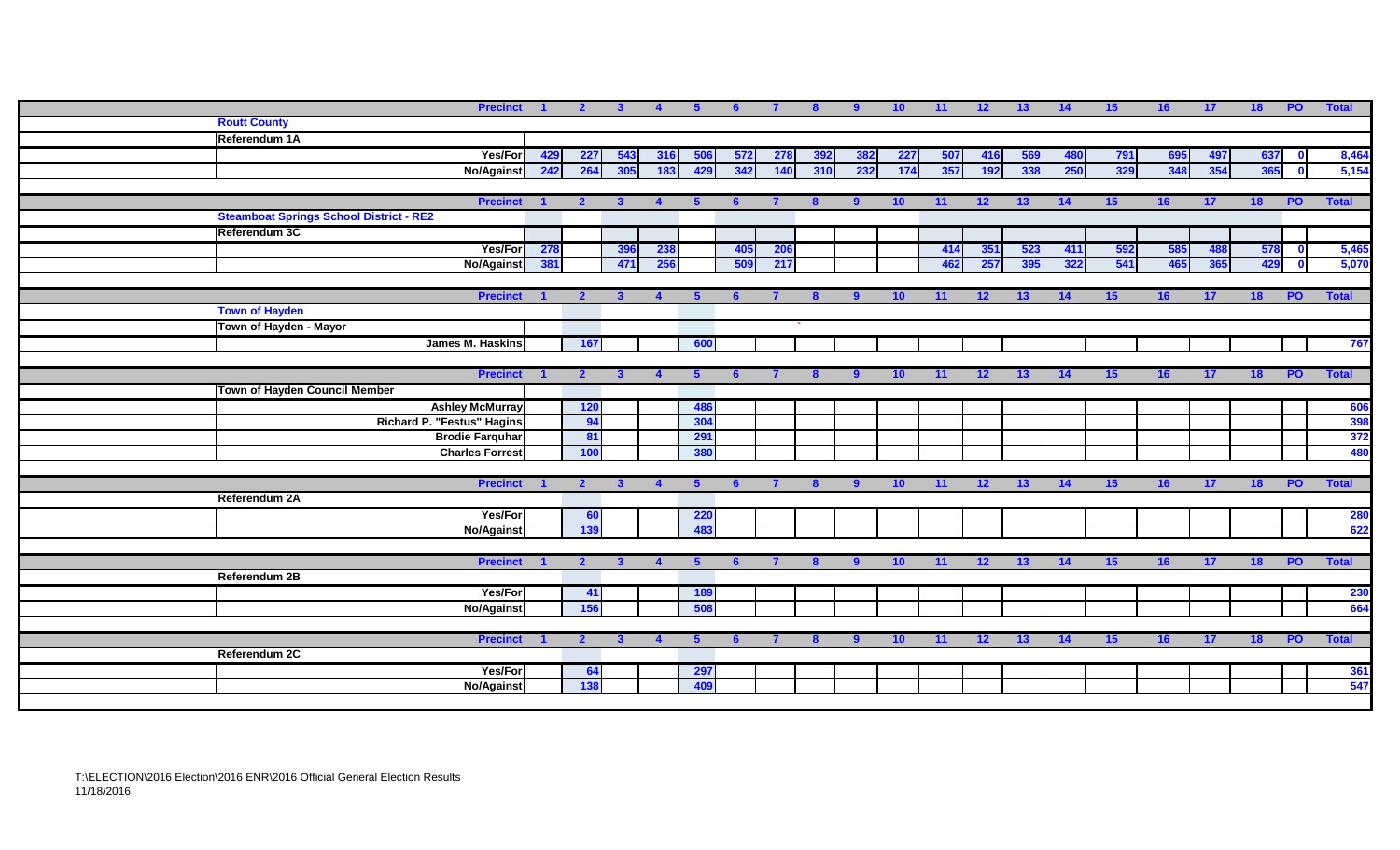| <b>Precinct</b>                                |     | $\overline{2}$ | $\mathbf{3}$ | $\overline{4}$   | $\sqrt{5}$ | -6  |            |     | 9            | 10         | 11  | 12  | 13  | 14  | 15  | 16              | 17 <sub>2</sub> | 18  | <b>PO</b>    | <b>Total</b> |
|------------------------------------------------|-----|----------------|--------------|------------------|------------|-----|------------|-----|--------------|------------|-----|-----|-----|-----|-----|-----------------|-----------------|-----|--------------|--------------|
| <b>Routt County</b>                            |     |                |              |                  |            |     |            |     |              |            |     |     |     |     |     |                 |                 |     |              |              |
| Referendum 1A                                  |     |                |              |                  |            |     |            |     |              |            |     |     |     |     |     |                 |                 |     |              |              |
| Yes/For                                        | 429 | 227            | 543          | 316              | 506        | 572 | 278        | 392 | 382          | <b>227</b> | 507 | 416 | 569 | 480 | 791 | 695             | 497             | 637 |              | 8,464        |
| <b>No/Against</b>                              | 242 | 264            | 305          | 183              | 429        | 342 | 140        | 310 | 232          | 174        | 357 | 192 | 338 | 250 | 329 | 348             | 354             | 365 |              | 5,154        |
|                                                |     |                |              |                  |            |     |            |     |              |            |     |     |     |     |     |                 |                 |     |              |              |
| <b>Precinct</b>                                |     | $\overline{2}$ | $\mathbf{3}$ |                  |            |     |            | 8   | $\mathbf{q}$ | 10         | 11  | 12  | 13  | 14  | 15  | 16              | 17              | 18  | <b>PO</b>    | <b>Total</b> |
| <b>Steamboat Springs School District - RE2</b> |     |                |              |                  |            |     |            |     |              |            |     |     |     |     |     |                 |                 |     |              |              |
| Referendum 3C                                  |     |                |              |                  |            |     |            |     |              |            |     |     |     |     |     |                 |                 |     |              |              |
| Yes/For                                        | 278 |                | 396          | 238              |            | 405 | <b>206</b> |     |              |            | 414 | 351 | 523 | 411 | 592 | 585             | 488             | 578 | $\mathbf{0}$ | 5,465        |
| No/Against                                     | 381 |                | 471          | 256              |            | 509 | 217        |     |              |            | 462 | 257 | 395 | 322 | 541 | 465             | 365             | 429 | $\mathbf{0}$ | 5,070        |
|                                                |     |                |              |                  |            |     |            |     |              |            |     |     |     |     |     |                 |                 |     |              |              |
| <b>Precinct</b>                                |     | $\overline{2}$ | $\mathbf{3}$ |                  |            |     |            |     | <b>q</b>     | 10         | 11  | 12  | 13  | 14  | 15  | 16              | 17              | 18  | <b>PO</b>    | <b>Total</b> |
| <b>Town of Hayden</b>                          |     |                |              |                  |            |     |            |     |              |            |     |     |     |     |     |                 |                 |     |              |              |
| Town of Hayden - Mayor                         |     |                |              |                  |            |     |            |     |              |            |     |     |     |     |     |                 |                 |     |              |              |
| James M. Haskins                               |     | 167            |              |                  | 600        |     |            |     |              |            |     |     |     |     |     |                 |                 |     |              | 767          |
|                                                |     |                |              |                  |            |     |            |     |              |            |     |     |     |     |     |                 |                 |     |              |              |
| <b>Precinct</b>                                |     | $\overline{2}$ | -3           | $\blacktriangle$ |            |     |            |     | 9            | 10         | 11  | 12  | 13  | 14  | 15  | 16              | 17              | 18  | <b>PO</b>    | <b>Total</b> |
| Town of Hayden Council Member                  |     |                |              |                  |            |     |            |     |              |            |     |     |     |     |     |                 |                 |     |              |              |
| <b>Ashley McMurray</b>                         |     | <b>120</b>     |              |                  | 486        |     |            |     |              |            |     |     |     |     |     |                 |                 |     |              | 606          |
| <b>Richard P. "Festus" Hagins</b>              |     | 94             |              |                  | 304        |     |            |     |              |            |     |     |     |     |     |                 |                 |     |              | 398          |
| <b>Brodie Farquhar</b>                         |     | 81             |              |                  | 291        |     |            |     |              |            |     |     |     |     |     |                 |                 |     |              | 372          |
| <b>Charles Forrest</b>                         |     | 100            |              |                  | 380        |     |            |     |              |            |     |     |     |     |     |                 |                 |     |              | 480          |
|                                                |     |                |              |                  |            |     |            |     |              |            |     |     |     |     |     |                 |                 |     |              |              |
| <b>Precinct</b>                                |     | $\mathbf{2}$   | $\mathbf{3}$ | $\overline{4}$   | 5          |     |            |     |              | 10         | 11  | 12  | 13  | 14  | 15  | 16              | 17 <sub>2</sub> | 18  | <b>PO</b>    | <b>Total</b> |
| Referendum 2A                                  |     |                |              |                  |            |     |            |     |              |            |     |     |     |     |     |                 |                 |     |              |              |
| Yes/For                                        |     | 60             |              |                  | <b>220</b> |     |            |     |              |            |     |     |     |     |     |                 |                 |     |              | <b>280</b>   |
| <b>No/Against</b>                              |     | 139            |              |                  | 483        |     |            |     |              |            |     |     |     |     |     |                 |                 |     |              | 622          |
|                                                |     |                |              |                  |            |     |            |     |              |            |     |     |     |     |     |                 |                 |     |              |              |
| <b>Precinct 1</b>                              |     | $\overline{2}$ | $\mathbf{3}$ | $\overline{4}$   | -5         | 6   |            | -8  | 9            | 10         | 11  | 12  | 13  | 14  | 15  | 16 <sup>1</sup> | 17              | 18  | <b>PO</b>    | <b>Total</b> |
| Referendum 2B                                  |     |                |              |                  |            |     |            |     |              |            |     |     |     |     |     |                 |                 |     |              |              |
| Yes/For                                        |     | $-41$          |              |                  | 189        |     |            |     |              |            |     |     |     |     |     |                 |                 |     |              | <b>230</b>   |
| <b>No/Against</b>                              |     | 156            |              |                  | 508        |     |            |     |              |            |     |     |     |     |     |                 |                 |     |              | 664          |
|                                                |     |                |              |                  |            |     |            |     |              |            |     |     |     |     |     |                 |                 |     |              |              |
| <b>Precinct</b><br>Referendum 2C               |     | $\overline{2}$ | $\mathbf{3}$ | $\Delta$         | 5          |     |            |     | 9            | 10         | 11  | 12  | 13  | 14  | 15  | 16              | 17              | 18  | <b>PO</b>    | <b>Total</b> |
|                                                |     |                |              |                  |            |     |            |     |              |            |     |     |     |     |     |                 |                 |     |              |              |
| Yes/For                                        |     | 64<br>138      |              |                  | 297        |     |            |     |              |            |     |     |     |     |     |                 |                 |     |              | 361<br>547   |
| <b>No/Against</b>                              |     |                |              |                  | 409        |     |            |     |              |            |     |     |     |     |     |                 |                 |     |              |              |
|                                                |     |                |              |                  |            |     |            |     |              |            |     |     |     |     |     |                 |                 |     |              |              |